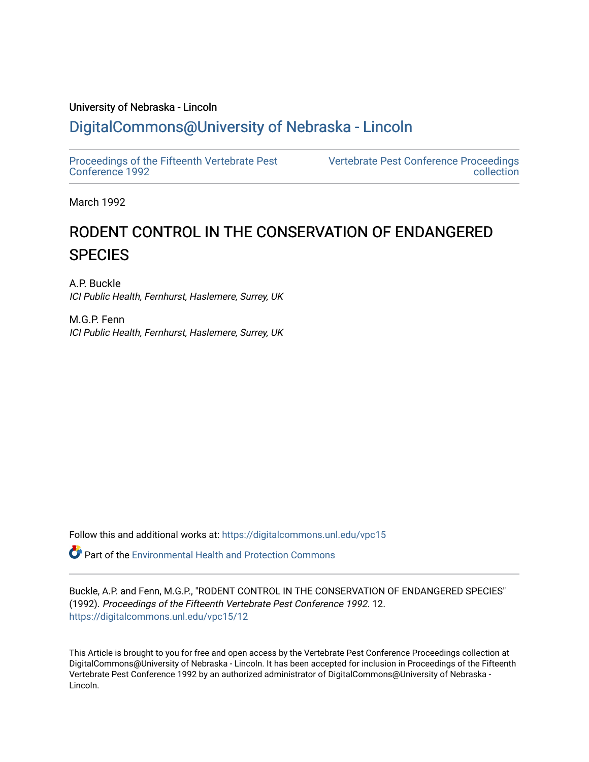# University of Nebraska - Lincoln [DigitalCommons@University of Nebraska - Lincoln](https://digitalcommons.unl.edu/)

[Proceedings of the Fifteenth Vertebrate Pest](https://digitalcommons.unl.edu/vpc15)  [Conference 1992](https://digitalcommons.unl.edu/vpc15) 

[Vertebrate Pest Conference Proceedings](https://digitalcommons.unl.edu/vpccollection)  [collection](https://digitalcommons.unl.edu/vpccollection) 

March 1992

# RODENT CONTROL IN THE CONSERVATION OF ENDANGERED **SPECIES**

A.P. Buckle ICI Public Health, Fernhurst, Haslemere, Surrey, UK

M.G.P. Fenn ICI Public Health, Fernhurst, Haslemere, Surrey, UK

Follow this and additional works at: [https://digitalcommons.unl.edu/vpc15](https://digitalcommons.unl.edu/vpc15?utm_source=digitalcommons.unl.edu%2Fvpc15%2F12&utm_medium=PDF&utm_campaign=PDFCoverPages) 

**P** Part of the Environmental Health and Protection Commons

Buckle, A.P. and Fenn, M.G.P., "RODENT CONTROL IN THE CONSERVATION OF ENDANGERED SPECIES" (1992). Proceedings of the Fifteenth Vertebrate Pest Conference 1992. 12. [https://digitalcommons.unl.edu/vpc15/12](https://digitalcommons.unl.edu/vpc15/12?utm_source=digitalcommons.unl.edu%2Fvpc15%2F12&utm_medium=PDF&utm_campaign=PDFCoverPages) 

This Article is brought to you for free and open access by the Vertebrate Pest Conference Proceedings collection at DigitalCommons@University of Nebraska - Lincoln. It has been accepted for inclusion in Proceedings of the Fifteenth Vertebrate Pest Conference 1992 by an authorized administrator of DigitalCommons@University of Nebraska - Lincoln.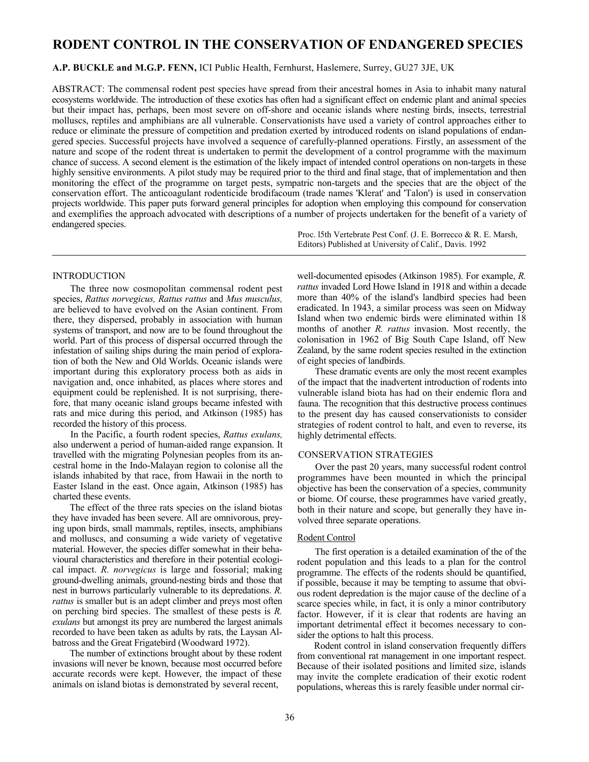# **RODENT CONTROL IN THE CONSERVATION OF ENDANGERED SPECIES**

# **A.P. BUCKLE and M.G.P. FENN,** ICI Public Health, Fernhurst, Haslemere, Surrey, GU27 3JE, UK

ABSTRACT: The commensal rodent pest species have spread from their ancestral homes in Asia to inhabit many natural ecosystems worldwide. The introduction of these exotics has often had a significant effect on endemic plant and animal species but their impact has, perhaps, been most severe on off-shore and oceanic islands where nesting birds, insects, terrestrial molluscs, reptiles and amphibians are all vulnerable. Conservationists have used a variety of control approaches either to reduce or eliminate the pressure of competition and predation exerted by introduced rodents on island populations of endangered species. Successful projects have involved a sequence of carefully-planned operations. Firstly, an assessment of the nature and scope of the rodent threat is undertaken to permit the development of a control programme with the maximum chance of success. A second element is the estimation of the likely impact of intended control operations on non-targets in these highly sensitive environments. A pilot study may be required prior to the third and final stage, that of implementation and then monitoring the effect of the programme on target pests, sympatric non-targets and the species that are the object of the conservation effort. The anticoagulant rodenticide brodifacoum (trade names 'Klerat' and 'Talon') is used in conservation projects worldwide. This paper puts forward general principles for adoption when employing this compound for conservation and exemplifies the approach advocated with descriptions of a number of projects undertaken for the benefit of a variety of endangered species.

> Proc. l5th Vertebrate Pest Conf. (J. E. Borrecco & R. E. Marsh, Editors) Published at University of Calif., Davis. 1992

# INTRODUCTION

The three now cosmopolitan commensal rodent pest species, *Rattus norvegicus, Rattus rattus* and *Mus musculus,*  are believed to have evolved on the Asian continent. From there, they dispersed, probably in association with human systems of transport, and now are to be found throughout the world. Part of this process of dispersal occurred through the infestation of sailing ships during the main period of exploration of both the New and Old Worlds. Oceanic islands were important during this exploratory process both as aids in navigation and, once inhabited, as places where stores and equipment could be replenished. It is not surprising, therefore, that many oceanic island groups became infested with rats and mice during this period, and Atkinson (1985) has recorded the history of this process.

In the Pacific, a fourth rodent species, *Rattus exulans,*  also underwent a period of human-aided range expansion. It travelled with the migrating Polynesian peoples from its ancestral home in the Indo-Malayan region to colonise all the islands inhabited by that race, from Hawaii in the north to Easter Island in the east. Once again, Atkinson (1985) has charted these events.

The effect of the three rats species on the island biotas they have invaded has been severe. All are omnivorous, preying upon birds, small mammals, reptiles, insects, amphibians and molluscs, and consuming a wide variety of vegetative material. However, the species differ somewhat in their behavioural characteristics and therefore in their potential ecological impact. *R. norvegicus* is large and fossorial; making ground-dwelling animals, ground-nesting birds and those that nest in burrows particularly vulnerable to its depredations. *R. rattus* is smaller but is an adept climber and preys most often on perching bird species. The smallest of these pests is *R. exulans* but amongst its prey are numbered the largest animals recorded to have been taken as adults by rats, the Laysan Albatross and the Great Frigatebird (Woodward 1972).

The number of extinctions brought about by these rodent invasions will never be known, because most occurred before accurate records were kept. However, the impact of these animals on island biotas is demonstrated by several recent,

well-documented episodes (Atkinson 1985). For example, *R. rattus* invaded Lord Howe Island in 1918 and within a decade more than 40% of the island's landbird species had been eradicated. In 1943, a similar process was seen on Midway Island when two endemic birds were eliminated within 18 months of another *R. rattus* invasion. Most recently, the colonisation in 1962 of Big South Cape Island, off New Zealand, by the same rodent species resulted in the extinction of eight species of landbirds.

These dramatic events are only the most recent examples of the impact that the inadvertent introduction of rodents into vulnerable island biota has had on their endemic flora and fauna. The recognition that this destructive process continues to the present day has caused conservationists to consider strategies of rodent control to halt, and even to reverse, its highly detrimental effects.

# CONSERVATION STRATEGIES

Over the past 20 years, many successful rodent control programmes have been mounted in which the principal objective has been the conservation of a species, community or biome. Of course, these programmes have varied greatly, both in their nature and scope, but generally they have involved three separate operations.

# Rodent Control

The first operation is a detailed examination of the of the rodent population and this leads to a plan for the control programme. The effects of the rodents should be quantified, if possible, because it may be tempting to assume that obvious rodent depredation is the major cause of the decline of a scarce species while, in fact, it is only a minor contributory factor. However, if it is clear that rodents are having an important detrimental effect it becomes necessary to consider the options to halt this process.

Rodent control in island conservation frequently differs from conventional rat management in one important respect. Because of their isolated positions and limited size, islands may invite the complete eradication of their exotic rodent populations, whereas this is rarely feasible under normal cir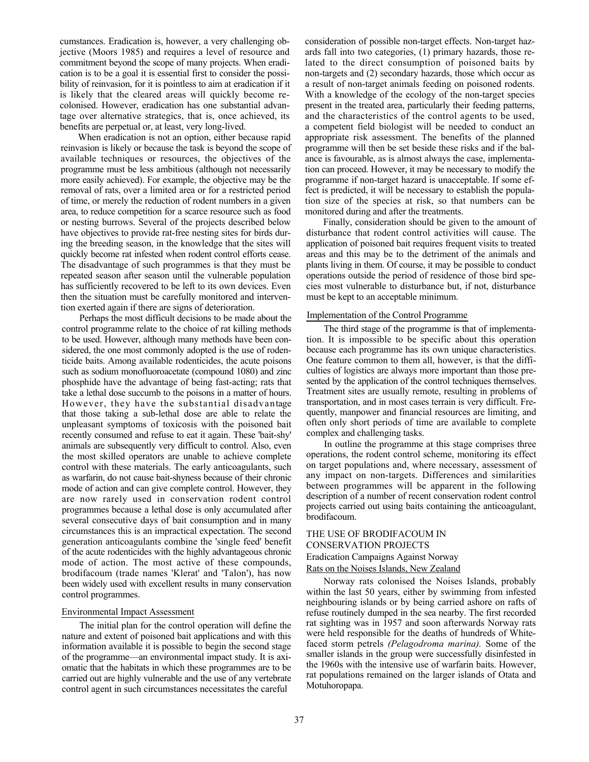cumstances. Eradication is, however, a very challenging objective (Moors 1985) and requires a level of resource and commitment beyond the scope of many projects. When eradication is to be a goal it is essential first to consider the possibility of reinvasion, for it is pointless to aim at eradication if it is likely that the cleared areas will quickly become recolonised. However, eradication has one substantial advantage over alternative strategics, that is, once achieved, its benefits are perpetual or, at least, very long-lived.

When eradication is not an option, either because rapid reinvasion is likely or because the task is beyond the scope of available techniques or resources, the objectives of the programme must be less ambitious (although not necessarily more easily achieved). For example, the objective may be the removal of rats, over a limited area or for a restricted period of time, or merely the reduction of rodent numbers in a given area, to reduce competition for a scarce resource such as food or nesting burrows. Several of the projects described below have objectives to provide rat-free nesting sites for birds during the breeding season, in the knowledge that the sites will quickly become rat infested when rodent control efforts cease. The disadvantage of such programmes is that they must be repeated season after season until the vulnerable population has sufficiently recovered to be left to its own devices. Even then the situation must be carefully monitored and intervention exerted again if there are signs of deterioration.

Perhaps the most difficult decisions to be made about the control programme relate to the choice of rat killing methods to be used. However, although many methods have been considered, the one most commonly adopted is the use of rodenticide baits. Among available rodenticides, the acute poisons such as sodium monofluoroacetate (compound 1080) and zinc phosphide have the advantage of being fast-acting; rats that take a lethal dose succumb to the poisons in a matter of hours. However, they have the substantial disadvantage that those taking a sub-lethal dose are able to relate the unpleasant symptoms of toxicosis with the poisoned bait recently consumed and refuse to eat it again. These 'bait-shy' animals are subsequently very difficult to control. Also, even the most skilled operators are unable to achieve complete control with these materials. The early anticoagulants, such as warfarin, do not cause bait-shyness because of their chronic mode of action and can give complete control. However, they are now rarely used in conservation rodent control programmes because a lethal dose is only accumulated after several consecutive days of bait consumption and in many circumstances this is an impractical expectation. The second generation anticoagulants combine the 'single feed' benefit of the acute rodenticides with the highly advantageous chronic mode of action. The most active of these compounds, brodifacoum (trade names 'Klerat' and 'Talon'), has now been widely used with excellent results in many conservation control programmes.

## Environmental Impact Assessment

The initial plan for the control operation will define the nature and extent of poisoned bait applications and with this information available it is possible to begin the second stage of the programme—an environmental impact study. It is axiomatic that the habitats in which these programmes are to be carried out are highly vulnerable and the use of any vertebrate control agent in such circumstances necessitates the careful

consideration of possible non-target effects. Non-target hazards fall into two categories, (1) primary hazards, those related to the direct consumption of poisoned baits by non-targets and (2) secondary hazards, those which occur as a result of non-target animals feeding on poisoned rodents. With a knowledge of the ecology of the non-target species present in the treated area, particularly their feeding patterns, and the characteristics of the control agents to be used, a competent field biologist will be needed to conduct an appropriate risk assessment. The benefits of the planned programme will then be set beside these risks and if the balance is favourable, as is almost always the case, implementation can proceed. However, it may be necessary to modify the programme if non-target hazard is unacceptable. If some effect is predicted, it will be necessary to establish the population size of the species at risk, so that numbers can be monitored during and after the treatments.

Finally, consideration should be given to the amount of disturbance that rodent control activities will cause. The application of poisoned bait requires frequent visits to treated areas and this may be to the detriment of the animals and plants living in them. Of course, it may be possible to conduct operations outside the period of residence of those bird species most vulnerable to disturbance but, if not, disturbance must be kept to an acceptable minimum.

## Implementation of the Control Programme

The third stage of the programme is that of implementation. It is impossible to be specific about this operation because each programme has its own unique characteristics. One feature common to them all, however, is that the difficulties of logistics are always more important than those presented by the application of the control techniques themselves. Treatment sites are usually remote, resulting in problems of transportation, and in most cases terrain is very difficult. Frequently, manpower and financial resources are limiting, and often only short periods of time are available to complete complex and challenging tasks.

In outline the programme at this stage comprises three operations, the rodent control scheme, monitoring its effect on target populations and, where necessary, assessment of any impact on non-targets. Differences and similarities between programmes will be apparent in the following description of a number of recent conservation rodent control projects carried out using baits containing the anticoagulant, brodifacoum.

# THE USE OF BRODIFACOUM IN CONSERVATION PROJECTS Eradication Campaigns Against Norway Rats on the Noises Islands, New Zealand

Norway rats colonised the Noises Islands, probably within the last 50 years, either by swimming from infested neighbouring islands or by being carried ashore on rafts of refuse routinely dumped in the sea nearby. The first recorded rat sighting was in 1957 and soon afterwards Norway rats were held responsible for the deaths of hundreds of Whitefaced storm petrels *(Pelagodroma marina).* Some of the smaller islands in the group were successfully disinfested in the 1960s with the intensive use of warfarin baits. However, rat populations remained on the larger islands of Otata and Motuhoropapa.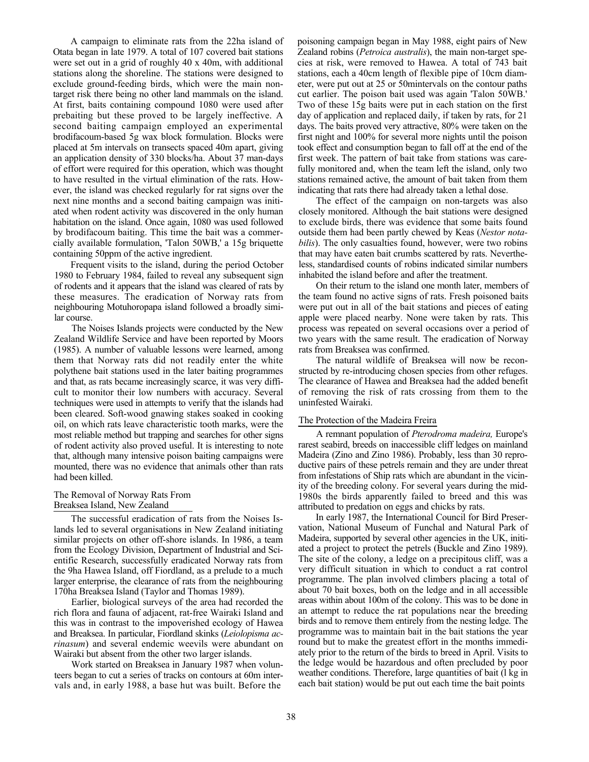A campaign to eliminate rats from the 22ha island of Otata began in late 1979. A total of 107 covered bait stations were set out in a grid of roughly 40 x 40m, with additional stations along the shoreline. The stations were designed to exclude ground-feeding birds, which were the main nontarget risk there being no other land mammals on the island. At first, baits containing compound 1080 were used after prebaiting but these proved to be largely ineffective. A second baiting campaign employed an experimental brodifacoum-based 5g wax block formulation. Blocks were placed at 5m intervals on transects spaced 40m apart, giving an application density of 330 blocks/ha. About 37 man-days of effort were required for this operation, which was thought to have resulted in the virtual elimination of the rats. However, the island was checked regularly for rat signs over the next nine months and a second baiting campaign was initiated when rodent activity was discovered in the only human habitation on the island. Once again, 1080 was used followed by brodifacoum baiting. This time the bait was a commercially available formulation, 'Talon 50WB,' a 15g briquette containing 50ppm of the active ingredient.

Frequent visits to the island, during the period October 1980 to February 1984, failed to reveal any subsequent sign of rodents and it appears that the island was cleared of rats by these measures. The eradication of Norway rats from neighbouring Motuhoropapa island followed a broadly similar course.

The Noises Islands projects were conducted by the New Zealand Wildlife Service and have been reported by Moors (1985). A number of valuable lessons were learned, among them that Norway rats did not readily enter the white polythene bait stations used in the later baiting programmes and that, as rats became increasingly scarce, it was very difficult to monitor their low numbers with accuracy. Several techniques were used in attempts to verify that the islands had been cleared. Soft-wood gnawing stakes soaked in cooking oil, on which rats leave characteristic tooth marks, were the most reliable method but trapping and searches for other signs of rodent activity also proved useful. It is interesting to note that, although many intensive poison baiting campaigns were mounted, there was no evidence that animals other than rats had been killed.

# The Removal of Norway Rats From Breaksea Island, New Zealand

The successful eradication of rats from the Noises Islands led to several organisations in New Zealand initiating similar projects on other off-shore islands. In 1986, a team from the Ecology Division, Department of Industrial and Scientific Research, successfully eradicated Norway rats from the 9ha Hawea Island, off Fiordland, as a prelude to a much larger enterprise, the clearance of rats from the neighbouring 170ha Breaksea Island (Taylor and Thomas 1989).

Earlier, biological surveys of the area had recorded the rich flora and fauna of adjacent, rat-free Wairaki Island and this was in contrast to the impoverished ecology of Hawea and Breaksea. In particular, Fiordland skinks (*Leiolopisma acrinasum*) and several endemic weevils were abundant on Wairaki but absent from the other two larger islands.

Work started on Breaksea in January 1987 when volunteers began to cut a series of tracks on contours at 60m intervals and, in early 1988, a base hut was built. Before the

poisoning campaign began in May 1988, eight pairs of New Zealand robins (*Petroica australis*), the main non-target species at risk, were removed to Hawea. A total of 743 bait stations, each a 40cm length of flexible pipe of 10cm diameter, were put out at 25 or 50mintervals on the contour paths cut earlier. The poison bait used was again 'Talon 50WB.' Two of these 15g baits were put in each station on the first day of application and replaced daily, if taken by rats, for 21 days. The baits proved very attractive, 80% were taken on the first night and 100% for several more nights until the poison took effect and consumption began to fall off at the end of the first week. The pattern of bait take from stations was carefully monitored and, when the team left the island, only two stations remained active, the amount of bait taken from them indicating that rats there had already taken a lethal dose.

The effect of the campaign on non-targets was also closely monitored. Although the bait stations were designed to exclude birds, there was evidence that some baits found outside them had been partly chewed by Keas (*Nestor notabilis*). The only casualties found, however, were two robins that may have eaten bait crumbs scattered by rats. Nevertheless, standardised counts of robins indicated similar numbers inhabited the island before and after the treatment.

On their return to the island one month later, members of the team found no active signs of rats. Fresh poisoned baits were put out in all of the bait stations and pieces of eating apple were placed nearby. None were taken by rats. This process was repeated on several occasions over a period of two years with the same result. The eradication of Norway rats from Breaksea was confirmed.

The natural wildlife of Breaksea will now be reconstructed by re-introducing chosen species from other refuges. The clearance of Hawea and Breaksea had the added benefit of removing the risk of rats crossing from them to the uninfested Wairaki.

## The Protection of the Madeira Freira

A remnant population of *Pterodroma madeira,* Europe's rarest seabird, breeds on inaccessible cliff ledges on mainland Madeira (Zino and Zino 1986). Probably, less than 30 reproductive pairs of these petrels remain and they are under threat from infestations of Ship rats which are abundant in the vicinity of the breeding colony. For several years during the mid-1980s the birds apparently failed to breed and this was attributed to predation on eggs and chicks by rats.

In early 1987, the International Council for Bird Preservation, National Museum of Funchal and Natural Park of Madeira, supported by several other agencies in the UK, initiated a project to protect the petrels (Buckle and Zino 1989). The site of the colony, a ledge on a precipitous cliff, was a very difficult situation in which to conduct a rat control programme. The plan involved climbers placing a total of about 70 bait boxes, both on the ledge and in all accessible areas within about 100m of the colony. This was to be done in an attempt to reduce the rat populations near the breeding birds and to remove them entirely from the nesting ledge. The programme was to maintain bait in the bait stations the year round but to make the greatest effort in the months immediately prior to the return of the birds to breed in April. Visits to the ledge would be hazardous and often precluded by poor weather conditions. Therefore, large quantities of bait (l kg in each bait station) would be put out each time the bait points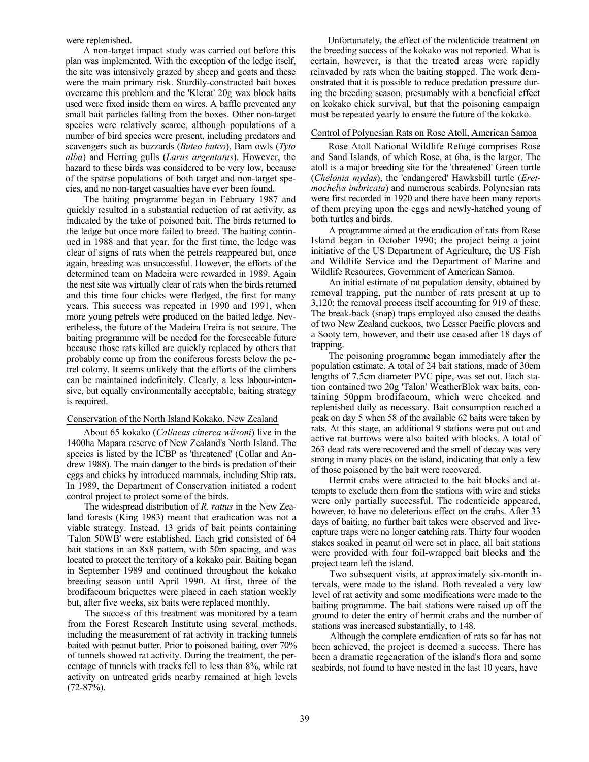were replenished.

A non-target impact study was carried out before this plan was implemented. With the exception of the ledge itself, the site was intensively grazed by sheep and goats and these were the main primary risk. Sturdily-constructed bait boxes overcame this problem and the 'Klerat' 20g wax block baits used were fixed inside them on wires. A baffle prevented any small bait particles falling from the boxes. Other non-target species were relatively scarce, although populations of a number of bird species were present, including predators and scavengers such as buzzards (*Buteo buteo*), Bam owls (*Tyto alba*) and Herring gulls (*Larus argentatus*). However, the hazard to these birds was considered to be very low, because of the sparse populations of both target and non-target species, and no non-target casualties have ever been found.

The baiting programme began in February 1987 and quickly resulted in a substantial reduction of rat activity, as indicated by the take of poisoned bait. The birds returned to the ledge but once more failed to breed. The baiting continued in 1988 and that year, for the first time, the ledge was clear of signs of rats when the petrels reappeared but, once again, breeding was unsuccessful. However, the efforts of the determined team on Madeira were rewarded in 1989. Again the nest site was virtually clear of rats when the birds returned and this time four chicks were fledged, the first for many years. This success was repeated in 1990 and 1991, when more young petrels were produced on the baited ledge. Nevertheless, the future of the Madeira Freira is not secure. The baiting programme will be needed for the foreseeable future because those rats killed are quickly replaced by others that probably come up from the coniferous forests below the petrel colony. It seems unlikely that the efforts of the climbers can be maintained indefinitely. Clearly, a less labour-intensive, but equally environmentally acceptable, baiting strategy is required.

# Conservation of the North Island Kokako, New Zealand

About 65 kokako (*Callaeas cinerea wilsoni*) live in the 1400ha Mapara reserve of New Zealand's North Island. The species is listed by the ICBP as 'threatened' (Collar and Andrew 1988). The main danger to the birds is predation of their eggs and chicks by introduced mammals, including Ship rats. In 1989, the Department of Conservation initiated a rodent control project to protect some of the birds.

The widespread distribution of *R. rattus* in the New Zealand forests (King 1983) meant that eradication was not a viable strategy. Instead, 13 grids of bait points containing 'Talon 50WB' were established. Each grid consisted of 64 bait stations in an 8x8 pattern, with 50m spacing, and was located to protect the territory of a kokako pair. Baiting began in September 1989 and continued throughout the kokako breeding season until April 1990. At first, three of the brodifacoum briquettes were placed in each station weekly but, after five weeks, six baits were replaced monthly.

The success of this treatment was monitored by a team from the Forest Research Institute using several methods, including the measurement of rat activity in tracking tunnels baited with peanut butter. Prior to poisoned baiting, over 70% of tunnels showed rat activity. During the treatment, the percentage of tunnels with tracks fell to less than 8%, while rat activity on untreated grids nearby remained at high levels (72-87%).

Unfortunately, the effect of the rodenticide treatment on the breeding success of the kokako was not reported. What is certain, however, is that the treated areas were rapidly reinvaded by rats when the baiting stopped. The work demonstrated that it is possible to reduce predation pressure during the breeding season, presumably with a beneficial effect on kokako chick survival, but that the poisoning campaign must be repeated yearly to ensure the future of the kokako.

# Control of Polynesian Rats on Rose Atoll, American Samoa

Rose Atoll National Wildlife Refuge comprises Rose and Sand Islands, of which Rose, at 6ha, is the larger. The atoll is a major breeding site for the 'threatened' Green turtle (*Chelonia mydas*), the 'endangered' Hawksbill turtle (*Eretmochelys imbricata*) and numerous seabirds. Polynesian rats were first recorded in 1920 and there have been many reports of them preying upon the eggs and newly-hatched young of both turtles and birds.

A programme aimed at the eradication of rats from Rose Island began in October 1990; the project being a joint initiative of the US Department of Agriculture, the US Fish and Wildlife Service and the Department of Marine and Wildlife Resources, Government of American Samoa.

An initial estimate of rat population density, obtained by removal trapping, put the number of rats present at up to 3,120; the removal process itself accounting for 919 of these. The break-back (snap) traps employed also caused the deaths of two New Zealand cuckoos, two Lesser Pacific plovers and a Sooty tern, however, and their use ceased after 18 days of trapping.

The poisoning programme began immediately after the population estimate. A total of 24 bait stations, made of 30cm lengths of 7.5cm diameter PVC pipe, was set out. Each station contained two 20g 'Talon' WeatherBlok wax baits, containing 50ppm brodifacoum, which were checked and replenished daily as necessary. Bait consumption reached a peak on day 5 when 58 of the available 62 baits were taken by rats. At this stage, an additional 9 stations were put out and active rat burrows were also baited with blocks. A total of 263 dead rats were recovered and the smell of decay was very strong in many places on the island, indicating that only a few of those poisoned by the bait were recovered.

Hermit crabs were attracted to the bait blocks and attempts to exclude them from the stations with wire and sticks were only partially successful. The rodenticide appeared, however, to have no deleterious effect on the crabs. After 33 days of baiting, no further bait takes were observed and livecapture traps were no longer catching rats. Thirty four wooden stakes soaked in peanut oil were set in place, all bait stations were provided with four foil-wrapped bait blocks and the project team left the island.

Two subsequent visits, at approximately six-month intervals, were made to the island. Both revealed a very low level of rat activity and some modifications were made to the baiting programme. The bait stations were raised up off the ground to deter the entry of hermit crabs and the number of stations was increased substantially, to 148.

Although the complete eradication of rats so far has not been achieved, the project is deemed a success. There has been a dramatic regeneration of the island's flora and some seabirds, not found to have nested in the last 10 years, have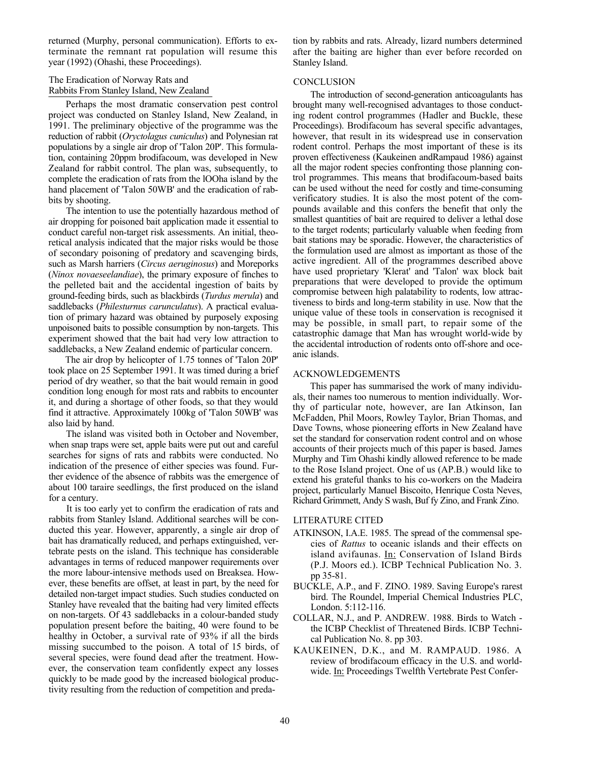returned (Murphy, personal communication). Efforts to exterminate the remnant rat population will resume this year (1992) (Ohashi, these Proceedings).

# The Eradication of Norway Rats and Rabbits From Stanley Island, New Zealand

Perhaps the most dramatic conservation pest control project was conducted on Stanley Island, New Zealand, in 1991. The preliminary objective of the programme was the reduction of rabbit (*Oryctolagus cuniculus*) and Polynesian rat populations by a single air drop of 'Talon 20P'. This formulation, containing 20ppm brodifacoum, was developed in New Zealand for rabbit control. The plan was, subsequently, to complete the eradication of rats from the lOOha island by the hand placement of 'Talon 50WB' and the eradication of rabbits by shooting.

The intention to use the potentially hazardous method of air dropping for poisoned bait application made it essential to conduct careful non-target risk assessments. An initial, theoretical analysis indicated that the major risks would be those of secondary poisoning of predatory and scavenging birds, such as Marsh harriers (*Circus aeruginosus*) and Moreporks (*Ninox novaeseelandiae*), the primary exposure of finches to the pelleted bait and the accidental ingestion of baits by ground-feeding birds, such as blackbirds (*Turdus merula*) and saddlebacks (*Philesturnus carunculatus*). A practical evaluation of primary hazard was obtained by purposely exposing unpoisoned baits to possible consumption by non-targets. This experiment showed that the bait had very low attraction to saddlebacks, a New Zealand endemic of particular concern.

The air drop by helicopter of 1.75 tonnes of 'Talon 20P' took place on 25 September 1991. It was timed during a brief period of dry weather, so that the bait would remain in good condition long enough for most rats and rabbits to encounter it, and during a shortage of other foods, so that they would find it attractive. Approximately 100kg of 'Talon 50WB' was also laid by hand.

The island was visited both in October and November, when snap traps were set, apple baits were put out and careful searches for signs of rats and rabbits were conducted. No indication of the presence of either species was found. Further evidence of the absence of rabbits was the emergence of about 100 taraire seedlings, the first produced on the island for a century.

It is too early yet to confirm the eradication of rats and rabbits from Stanley Island. Additional searches will be conducted this year. However, apparently, a single air drop of bait has dramatically reduced, and perhaps extinguished, vertebrate pests on the island. This technique has considerable advantages in terms of reduced manpower requirements over the more labour-intensive methods used on Breaksea. However, these benefits are offset, at least in part, by the need for detailed non-target impact studies. Such studies conducted on Stanley have revealed that the baiting had very limited effects on non-targets. Of 43 saddlebacks in a colour-banded study population present before the baiting, 40 were found to be healthy in October, a survival rate of 93% if all the birds missing succumbed to the poison. A total of 15 birds, of several species, were found dead after the treatment. However, the conservation team confidently expect any losses quickly to be made good by the increased biological productivity resulting from the reduction of competition and predation by rabbits and rats. Already, lizard numbers determined after the baiting are higher than ever before recorded on Stanley Island.

# **CONCLUSION**

The introduction of second-generation anticoagulants has brought many well-recognised advantages to those conducting rodent control programmes (Hadler and Buckle, these Proceedings). Brodifacoum has several specific advantages, however, that result in its widespread use in conservation rodent control. Perhaps the most important of these is its proven effectiveness (Kaukeinen andRampaud 1986) against all the major rodent species confronting those planning control programmes. This means that brodifacoum-based baits can be used without the need for costly and time-consuming verificatory studies. It is also the most potent of the compounds available and this confers the benefit that only the smallest quantities of bait are required to deliver a lethal dose to the target rodents; particularly valuable when feeding from bait stations may be sporadic. However, the characteristics of the formulation used are almost as important as those of the active ingredient. All of the programmes described above have used proprietary 'Klerat' and 'Talon' wax block bait preparations that were developed to provide the optimum compromise between high palatability to rodents, low attractiveness to birds and long-term stability in use. Now that the unique value of these tools in conservation is recognised it may be possible, in small part, to repair some of the catastrophic damage that Man has wrought world-wide by the accidental introduction of rodents onto off-shore and oceanic islands.

## ACKNOWLEDGEMENTS

This paper has summarised the work of many individuals, their names too numerous to mention individually. Worthy of particular note, however, are Ian Atkinson, Ian McFadden, Phil Moors, Rowley Taylor, Brian Thomas, and Dave Towns, whose pioneering efforts in New Zealand have set the standard for conservation rodent control and on whose accounts of their projects much of this paper is based. James Murphy and Tim Ohashi kindly allowed reference to be made to the Rose Island project. One of us (AP.B.) would like to extend his grateful thanks to his co-workers on the Madeira project, particularly Manuel Biscoito, Henrique Costa Neves, Richard Grimmett, Andy S wash, Buf fy Zino, and Frank Zino.

#### LITERATURE CITED

- ATKINSON, I.A.E. 1985. The spread of the commensal species of *Rattus* to oceanic islands and their effects on island avifaunas. In: Conservation of Island Birds (P.J. Moors ed.). ICBP Technical Publication No. 3. pp 35-81.
- BUCKLE, A.P., and F. ZINO. 1989. Saving Europe's rarest bird. The Roundel, Imperial Chemical Industries PLC, London. 5:112-116.
- COLLAR, N.J., and P. ANDREW. 1988. Birds to Watch the ICBP Checklist of Threatened Birds. ICBP Technical Publication No. 8. pp 303.
- KAUKEINEN, D.K., and M. RAMPAUD. 1986. A review of brodifacoum efficacy in the U.S. and worldwide. In: Proceedings Twelfth Vertebrate Pest Confer-